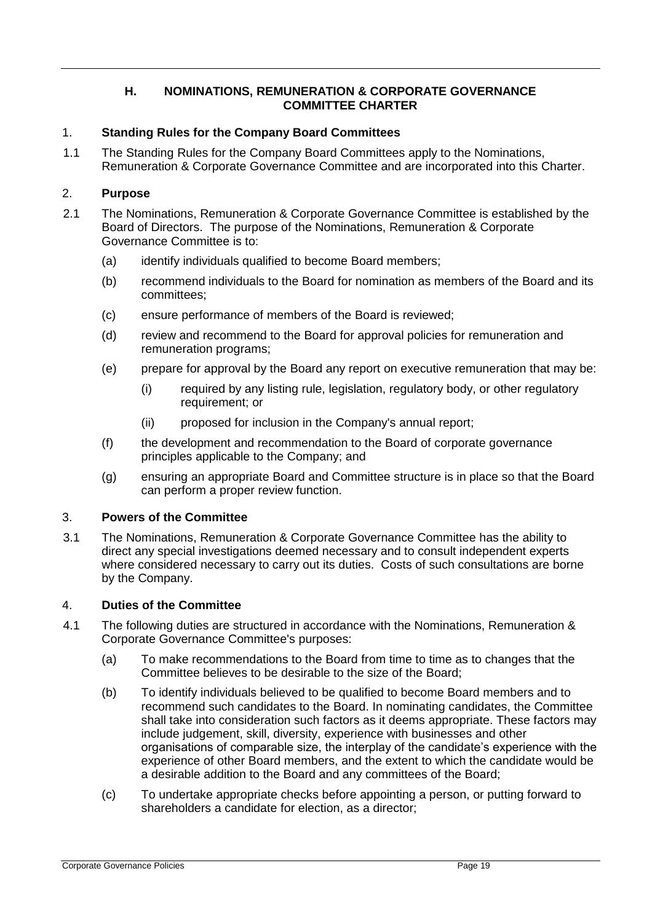# **H. NOMINATIONS, REMUNERATION & CORPORATE GOVERNANCE COMMITTEE CHARTER**

## 1. **Standing Rules for the Company Board Committees**

1.1 The Standing Rules for the Company Board Committees apply to the Nominations, Remuneration & Corporate Governance Committee and are incorporated into this Charter.

### 2. **Purpose**

- 2.1 The Nominations, Remuneration & Corporate Governance Committee is established by the Board of Directors. The purpose of the Nominations, Remuneration & Corporate Governance Committee is to:
	- (a) identify individuals qualified to become Board members;
	- (b) recommend individuals to the Board for nomination as members of the Board and its committees;
	- (c) ensure performance of members of the Board is reviewed;
	- (d) review and recommend to the Board for approval policies for remuneration and remuneration programs;
	- (e) prepare for approval by the Board any report on executive remuneration that may be:
		- (i) required by any listing rule, legislation, regulatory body, or other regulatory requirement; or
		- (ii) proposed for inclusion in the Company's annual report;
	- (f) the development and recommendation to the Board of corporate governance principles applicable to the Company; and
	- (g) ensuring an appropriate Board and Committee structure is in place so that the Board can perform a proper review function.

#### 3. **Powers of the Committee**

3.1 The Nominations, Remuneration & Corporate Governance Committee has the ability to direct any special investigations deemed necessary and to consult independent experts where considered necessary to carry out its duties. Costs of such consultations are borne by the Company.

## 4. **Duties of the Committee**

- 4.1 The following duties are structured in accordance with the Nominations, Remuneration & Corporate Governance Committee's purposes:
	- (a) To make recommendations to the Board from time to time as to changes that the Committee believes to be desirable to the size of the Board;
	- (b) To identify individuals believed to be qualified to become Board members and to recommend such candidates to the Board. In nominating candidates, the Committee shall take into consideration such factors as it deems appropriate. These factors may include judgement, skill, diversity, experience with businesses and other organisations of comparable size, the interplay of the candidate's experience with the experience of other Board members, and the extent to which the candidate would be a desirable addition to the Board and any committees of the Board;
	- (c) To undertake appropriate checks before appointing a person, or putting forward to shareholders a candidate for election, as a director;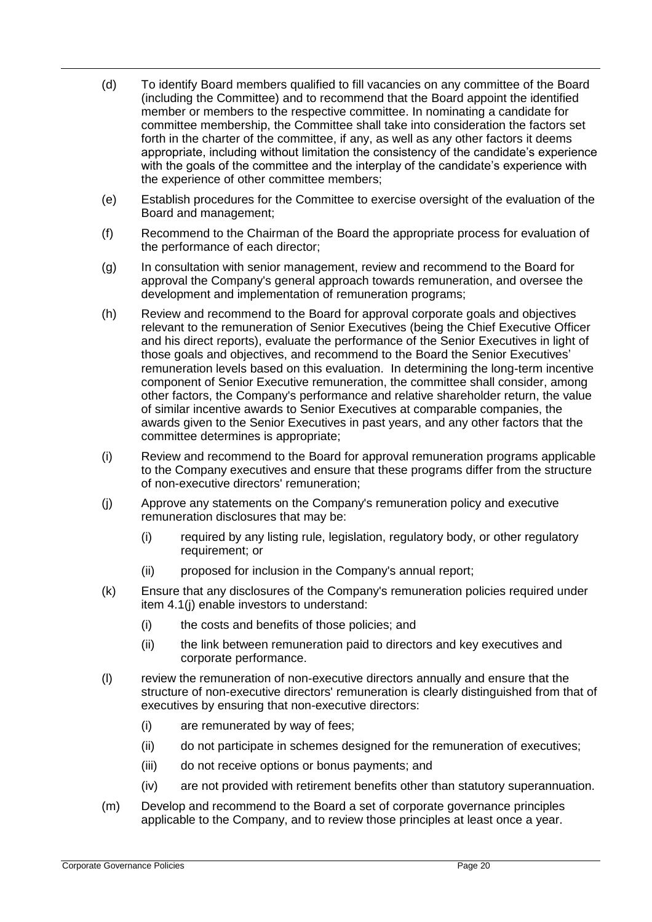- (d) To identify Board members qualified to fill vacancies on any committee of the Board (including the Committee) and to recommend that the Board appoint the identified member or members to the respective committee. In nominating a candidate for committee membership, the Committee shall take into consideration the factors set forth in the charter of the committee, if any, as well as any other factors it deems appropriate, including without limitation the consistency of the candidate's experience with the goals of the committee and the interplay of the candidate's experience with the experience of other committee members;
- (e) Establish procedures for the Committee to exercise oversight of the evaluation of the Board and management;
- (f) Recommend to the Chairman of the Board the appropriate process for evaluation of the performance of each director;
- (g) In consultation with senior management, review and recommend to the Board for approval the Company's general approach towards remuneration, and oversee the development and implementation of remuneration programs;
- (h) Review and recommend to the Board for approval corporate goals and objectives relevant to the remuneration of Senior Executives (being the Chief Executive Officer and his direct reports), evaluate the performance of the Senior Executives in light of those goals and objectives, and recommend to the Board the Senior Executives' remuneration levels based on this evaluation. In determining the long-term incentive component of Senior Executive remuneration, the committee shall consider, among other factors, the Company's performance and relative shareholder return, the value of similar incentive awards to Senior Executives at comparable companies, the awards given to the Senior Executives in past years, and any other factors that the committee determines is appropriate;
- (i) Review and recommend to the Board for approval remuneration programs applicable to the Company executives and ensure that these programs differ from the structure of non-executive directors' remuneration;
- (j) Approve any statements on the Company's remuneration policy and executive remuneration disclosures that may be:
	- (i) required by any listing rule, legislation, regulatory body, or other regulatory requirement; or
	- (ii) proposed for inclusion in the Company's annual report;
- (k) Ensure that any disclosures of the Company's remuneration policies required under item 4.1(j) enable investors to understand:
	- (i) the costs and benefits of those policies; and
	- (ii) the link between remuneration paid to directors and key executives and corporate performance.
- (l) review the remuneration of non-executive directors annually and ensure that the structure of non-executive directors' remuneration is clearly distinguished from that of executives by ensuring that non-executive directors:
	- (i) are remunerated by way of fees;
	- (ii) do not participate in schemes designed for the remuneration of executives;
	- (iii) do not receive options or bonus payments; and
	- (iv) are not provided with retirement benefits other than statutory superannuation.
- (m) Develop and recommend to the Board a set of corporate governance principles applicable to the Company, and to review those principles at least once a year.